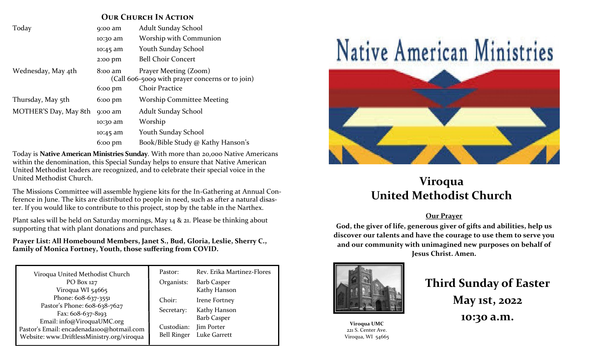### **OUR CHURCH IN ACTION**

| Today                 | 9:00 am                                                                               | Adult Sunday School               |
|-----------------------|---------------------------------------------------------------------------------------|-----------------------------------|
|                       | 10:30 am                                                                              | Worship with Communion            |
|                       | 10:45 am                                                                              | Youth Sunday School               |
|                       | 2:00 pm                                                                               | <b>Bell Choir Concert</b>         |
| Wednesday, May 4th    | Prayer Meeting (Zoom)<br>$8:00$ am<br>(Call 606-5009 with prayer concerns or to join) |                                   |
|                       | $6:00 \text{ pm}$                                                                     | <b>Choir Practice</b>             |
| Thursday, May 5th     | $6:00 \text{ pm}$                                                                     | <b>Worship Committee Meeting</b>  |
| MOTHER'S Day, May 8th | 9:00 am                                                                               | Adult Sunday School               |
|                       | 10:30 am                                                                              | Worship                           |
|                       | 10:45 am                                                                              | Youth Sunday School               |
|                       | $6:00 \text{ pm}$                                                                     | Book/Bible Study @ Kathy Hanson's |

Today is **Native American Ministries Sunday**. With more than 20,000 Native Americans within the denomination, this Special Sunday helps to ensure that Native American United Methodist leaders are recognized, and to celebrate their special voice in the United Methodist Church.

The Missions Committee will assemble hygiene kits for the In-Gathering at Annual Conference in June. The kits are distributed to people in need, such as after a natural disaster. If you would like to contribute to this project, stop by the table in the Narthex.

Plant sales will be held on Saturday mornings, May 14 & 21. Please be thinking about supporting that with plant donations and purchases.

**Prayer List: All Homebound Members, Janet S., Bud, Gloria, Leslie, Sherry C., family of Monica Fortney, Youth, those suffering from COVID.**

| Viroqua United Methodist Church                                                                                                                                                                     | Pastor:                                                  | Rev. Erika Martinez-Flores                                                        |
|-----------------------------------------------------------------------------------------------------------------------------------------------------------------------------------------------------|----------------------------------------------------------|-----------------------------------------------------------------------------------|
| PO Box 127<br>Viroqua WI 54665                                                                                                                                                                      | Organists:                                               | <b>Barb Casper</b><br>Kathy Hanson                                                |
| Phone: 608-637-3551<br>Pastor's Phone: 608-638-7627<br>Fax: $608-637-8193$<br>Email: info@ViroquaUMC.org<br>Pastor's Email: encadenada100@hotmail.com<br>Website: www.DriftlessMinistry.org/viroqua | Choir:<br>Secretary:<br>Custodian:<br><b>Bell Ringer</b> | Irene Fortney<br>Kathy Hanson<br><b>Barb Casper</b><br>Jim Porter<br>Luke Garrett |



# **Viroqua United Methodist Church**

#### **Our Prayer**

**God, the giver of life, generous giver of gifts and abilities, help us discover our talents and have the courage to use them to serve you and our community with unimagined new purposes on behalf of Jesus Christ. Amen.**



**Viroqua UMC** 221 S. Center Ave. Viroqua, WI 54665

# **Third Sunday of Easter May 1st, 2022 10:30 a.m.**